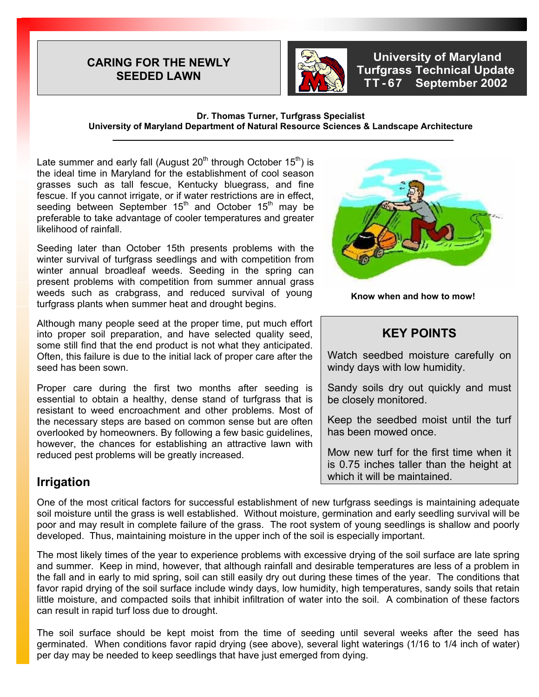#### **CARING FOR THE NEWLY SEEDED LAWN**



 **University of Maryland Turfgrass Technical Update TT - 67 September 2002** 

#### **Dr. Thomas Turner, Turfgrass Specialist University of Maryland Department of Natural Resource Sciences & Landscape Architecture**

Late summer and early fall (August  $20<sup>th</sup>$  through October  $15<sup>th</sup>$ ) is the ideal time in Maryland for the establishment of cool season grasses such as tall fescue, Kentucky bluegrass, and fine fescue. If you cannot irrigate, or if water restrictions are in effect, seeding between September  $15<sup>th</sup>$  and October  $15<sup>th</sup>$  may be preferable to take advantage of cooler temperatures and greater likelihood of rainfall.

Seeding later than October 15th presents problems with the winter survival of turfgrass seedlings and with competition from winter annual broadleaf weeds. Seeding in the spring can present problems with competition from summer annual grass weeds such as crabgrass, and reduced survival of young turfgrass plants when summer heat and drought begins.

Although many people seed at the proper time, put much effort into proper soil preparation, and have selected quality seed, some still find that the end product is not what they anticipated. Often, this failure is due to the initial lack of proper care after the seed has been sown.

Proper care during the first two months after seeding is essential to obtain a healthy, dense stand of turfgrass that is resistant to weed encroachment and other problems. Most of the necessary steps are based on common sense but are often overlooked by homeowners. By following a few basic guidelines, however, the chances for establishing an attractive lawn with reduced pest problems will be greatly increased.

## **Irrigation**

**Know when and how to mow!** 

## **KEY POINTS**

Watch seedbed moisture carefully on windy days with low humidity.

Sandy soils dry out quickly and must be closely monitored.

Keep the seedbed moist until the turf has been mowed once.

Mow new turf for the first time when it is 0.75 inches taller than the height at which it will be maintained.

One of the most critical factors for successful establishment of new turfgrass seedings is maintaining adequate soil moisture until the grass is well established. Without moisture, germination and early seedling survival will be poor and may result in complete failure of the grass. The root system of young seedlings is shallow and poorly developed. Thus, maintaining moisture in the upper inch of the soil is especially important.

The most likely times of the year to experience problems with excessive drying of the soil surface are late spring and summer. Keep in mind, however, that although rainfall and desirable temperatures are less of a problem in the fall and in early to mid spring, soil can still easily dry out during these times of the year. The conditions that favor rapid drying of the soil surface include windy days, low humidity, high temperatures, sandy soils that retain little moisture, and compacted soils that inhibit infiltration of water into the soil. A combination of these factors can result in rapid turf loss due to drought.

The soil surface should be kept moist from the time of seeding until several weeks after the seed has germinated. When conditions favor rapid drying (see above), several light waterings (1/16 to 1/4 inch of water) per day may be needed to keep seedlings that have just emerged from dying.